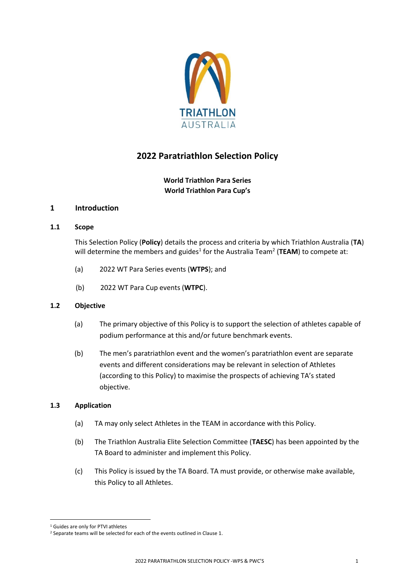

# **2022 Paratriathlon Selection Policy**

# **World Triathlon Para Series World Triathlon Para Cup's**

# **1 Introduction**

## **1.1 Scope**

This Selection Policy (**Policy**) details the process and criteria by which Triathlon Australia (**TA**) will determine the members and guides<sup>1</sup> for the Australia Team<sup>2</sup> (TEAM) to compete at:

- (a) 2022 WT Para Series events (**WTPS**); and
- (b) 2022 WT Para Cup events (**WTPC**).

## **1.2 Objective**

- (a) The primary objective of this Policy is to support the selection of athletes capable of podium performance at this and/or future benchmark events.
- (b) The men's paratriathlon event and the women's paratriathlon event are separate events and different considerations may be relevant in selection of Athletes (according to this Policy) to maximise the prospects of achieving TA's stated objective.

# **1.3 Application**

- (a) TA may only select Athletes in the TEAM in accordance with this Policy.
- (b) The Triathlon Australia Elite Selection Committee (**TAESC**) has been appointed by the TA Board to administer and implement this Policy.
- (c) This Policy is issued by the TA Board. TA must provide, or otherwise make available, this Policy to all Athletes.

<sup>&</sup>lt;sup>1</sup> Guides are only for PTVI athletes

<sup>&</sup>lt;sup>2</sup> Separate teams will be selected for each of the events outlined in Clause 1.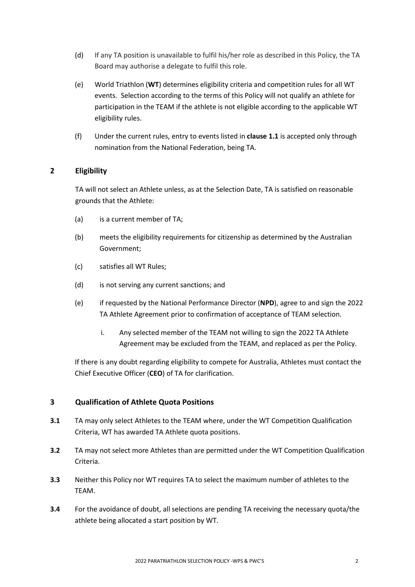- (d) If any TA position is unavailable to fulfil his/her role as described in this Policy, the TA Board may authorise a delegate to fulfil this role.
- (e) World Triathlon (**WT**) determines eligibility criteria and competition rules for all WT events. Selection according to the terms of this Policy will not qualify an athlete for participation in the TEAM if the athlete is not eligible according to the applicable WT eligibility rules.
- (f) Under the current rules, entry to events listed in **clause 1.1** is accepted only through nomination from the National Federation, being TA.

# **2 Eligibility**

TA will not select an Athlete unless, as at the Selection Date, TA is satisfied on reasonable grounds that the Athlete:

- (a) is a current member of TA;
- (b) meets the eligibility requirements for citizenship as determined by the Australian Government;
- (c) satisfies all WT Rules;
- (d) is not serving any current sanctions; and
- (e) if requested by the National Performance Director (**NPD**), agree to and sign the 2022 TA Athlete Agreement prior to confirmation of acceptance of TEAM selection.
	- i. Any selected member of the TEAM not willing to sign the 2022 TA Athlete Agreement may be excluded from the TEAM, and replaced as per the Policy.

If there is any doubt regarding eligibility to compete for Australia, Athletes must contact the Chief Executive Officer (**CEO**) of TA for clarification.

# **3 Qualification of Athlete Quota Positions**

- **3.1** TA may only select Athletes to the TEAM where, under the WT Competition Qualification Criteria, WT has awarded TA Athlete quota positions.
- **3.2** TA may not select more Athletes than are permitted under the WT Competition Qualification Criteria.
- **3.3** Neither this Policy nor WT requires TA to select the maximum number of athletes to the TEAM.
- **3.4** For the avoidance of doubt, all selections are pending TA receiving the necessary quota/the athlete being allocated a start position by WT.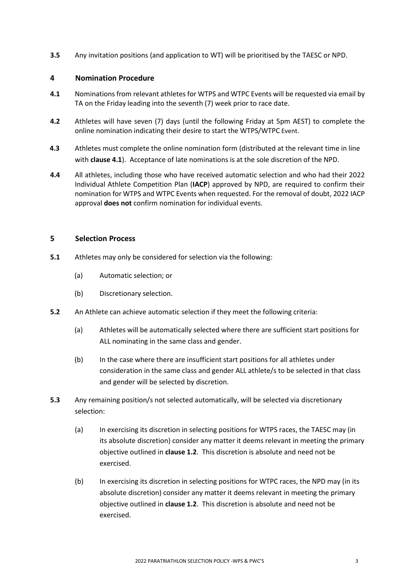**3.5** Any invitation positions (and application to WT) will be prioritised by the TAESC or NPD.

## **4 Nomination Procedure**

- **4.1** Nominations from relevant athletes for WTPS and WTPC Events will be requested via email by TA on the Friday leading into the seventh (7) week prior to race date.
- **4.2** Athletes will have seven (7) days (until the following Friday at 5pm AEST) to complete the online nomination indicating their desire to start the WTPS/WTPC Event.
- **4.3** Athletes must complete the online nomination form (distributed at the relevant time in line with **clause 4.1**). Acceptance of late nominations is at the sole discretion of the NPD.
- **4.4** All athletes, including those who have received automatic selection and who had their 2022 Individual Athlete Competition Plan (**IACP**) approved by NPD, are required to confirm their nomination for WTPS and WTPC Events when requested. For the removal of doubt, 2022 IACP approval **does not** confirm nomination for individual events.

## **5 Selection Process**

- **5.1** Athletes may only be considered for selection via the following:
	- (a) Automatic selection; or
	- (b) Discretionary selection.
- **5.2** An Athlete can achieve automatic selection if they meet the following criteria:
	- (a) Athletes will be automatically selected where there are sufficient start positions for ALL nominating in the same class and gender.
	- (b) In the case where there are insufficient start positions for all athletes under consideration in the same class and gender ALL athlete/s to be selected in that class and gender will be selected by discretion.
- **5.3** Any remaining position/s not selected automatically, will be selected via discretionary selection:
	- (a) In exercising its discretion in selecting positions for WTPS races, the TAESC may (in its absolute discretion) consider any matter it deems relevant in meeting the primary objective outlined in **clause 1.2**. This discretion is absolute and need not be exercised.
	- (b) In exercising its discretion in selecting positions for WTPC races, the NPD may (in its absolute discretion) consider any matter it deems relevant in meeting the primary objective outlined in **clause 1.2**. This discretion is absolute and need not be exercised.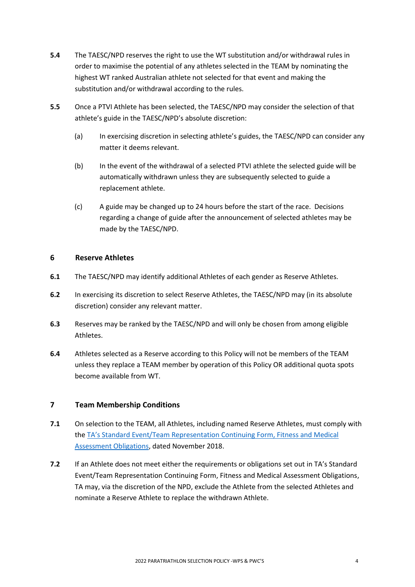- **5.4** The TAESC/NPD reserves the right to use the WT substitution and/or withdrawal rules in order to maximise the potential of any athletes selected in the TEAM by nominating the highest WT ranked Australian athlete not selected for that event and making the substitution and/or withdrawal according to the rules.
- **5.5** Once a PTVI Athlete has been selected, the TAESC/NPD may consider the selection of that athlete's guide in the TAESC/NPD's absolute discretion:
	- (a) In exercising discretion in selecting athlete's guides, the TAESC/NPD can consider any matter it deems relevant.
	- (b) In the event of the withdrawal of a selected PTVI athlete the selected guide will be automatically withdrawn unless they are subsequently selected to guide a replacement athlete.
	- (c) A guide may be changed up to 24 hours before the start of the race. Decisions regarding a change of guide after the announcement of selected athletes may be made by the TAESC/NPD.

# **6 Reserve Athletes**

- **6.1** The TAESC/NPD may identify additional Athletes of each gender as Reserve Athletes.
- **6.2** In exercising its discretion to select Reserve Athletes, the TAESC/NPD may (in its absolute discretion) consider any relevant matter.
- **6.3** Reserves may be ranked by the TAESC/NPD and will only be chosen from among eligible Athletes.
- **6.4** Athletes selected as a Reserve according to this Policy will not be members of the TEAM unless they replace a TEAM member by operation of this Policy OR additional quota spots become available from WT.

# **7 Team Membership Conditions**

- **7.1** On selection to the TEAM, all Athletes, including named Reserve Athletes, must comply with the TA's Standard [Event/Team Representation Continuing Form, Fitness and Medical](http://www.triathlon.org.au/Assets/Triathlon+Australia+Digital+Assets/Athlete+Fitness+and+Medical+Obligations.pdf)  [Assessment Obligations,](http://www.triathlon.org.au/Assets/Triathlon+Australia+Digital+Assets/Athlete+Fitness+and+Medical+Obligations.pdf) dated November 2018.
- **7.2** If an Athlete does not meet either the requirements or obligations set out in TA's Standard Event/Team Representation Continuing Form, Fitness and Medical Assessment Obligations, TA may, via the discretion of the NPD, exclude the Athlete from the selected Athletes and nominate a Reserve Athlete to replace the withdrawn Athlete.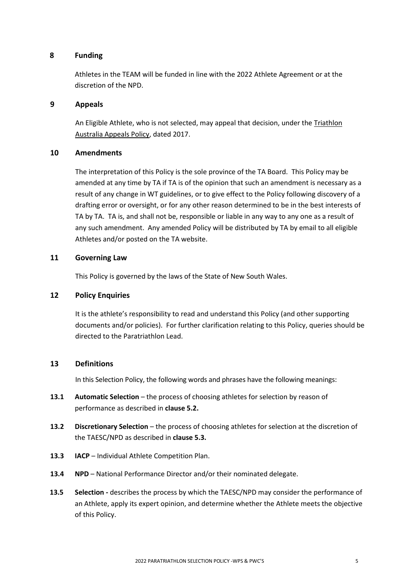## **8 Funding**

Athletes in the TEAM will be funded in line with the 2022 Athlete Agreement or at the discretion of the NPD.

## **9 Appeals**

An Eligible Athlete, who is not selected, may appeal that decision, under th[e Triathlon](http://www.triathlon.org.au/Assets/Triathlon+Australia+Digital+Assets/2017+Triathlon+Australia+Appeals+Policy.pdf)  [Australia Appeals Policy,](http://www.triathlon.org.au/Assets/Triathlon+Australia+Digital+Assets/2017+Triathlon+Australia+Appeals+Policy.pdf) dated 2017.

## **10 Amendments**

The interpretation of this Policy is the sole province of the TA Board. This Policy may be amended at any time by TA if TA is of the opinion that such an amendment is necessary as a result of any change in WT guidelines, or to give effect to the Policy following discovery of a drafting error or oversight, or for any other reason determined to be in the best interests of TA by TA. TA is, and shall not be, responsible or liable in any way to any one as a result of any such amendment. Any amended Policy will be distributed by TA by email to all eligible Athletes and/or posted on the TA website.

## **11 Governing Law**

This Policy is governed by the laws of the State of New South Wales.

#### **12 Policy Enquiries**

It is the athlete's responsibility to read and understand this Policy (and other supporting documents and/or policies).For further clarification relating to this Policy, queries should be directed to the Paratriathlon Lead.

## **13 Definitions**

In this Selection Policy, the following words and phrases have the following meanings:

- **13.1 Automatic Selection** the process of choosing athletes for selection by reason of performance as described in **clause 5.2.**
- **13.2 Discretionary Selection** the process of choosing athletes for selection at the discretion of the TAESC/NPD as described in **clause 5.3.**
- **13.3 IACP** Individual Athlete Competition Plan.
- **13.4 NPD** National Performance Director and/or their nominated delegate.
- **13.5 Selection** *-* describes the process by which the TAESC/NPD may consider the performance of an Athlete, apply its expert opinion, and determine whether the Athlete meets the objective of this Policy.